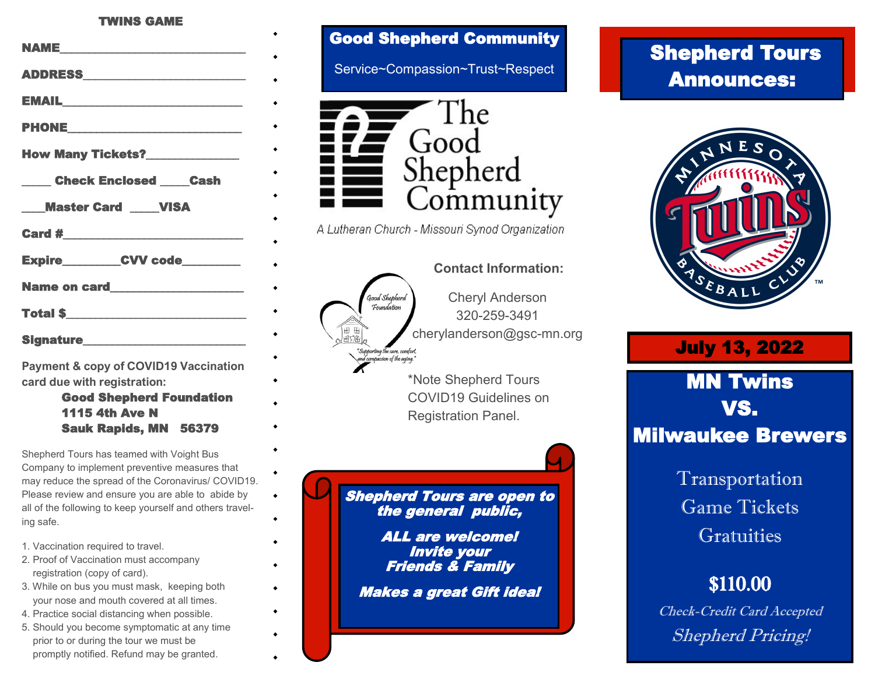#### TWINS GAME

| <b>NAME</b>                             |
|-----------------------------------------|
|                                         |
|                                         |
|                                         |
| <b>How Many Tickets?_______________</b> |
| <b>Example 2 Check Enclosed Cash</b>    |
|                                         |
| <b>Master Card _____ VISA</b>           |
|                                         |
| Expire__________CVV code_________       |
|                                         |
| Total \$                                |
|                                         |

**Payment & copy of COVID19 Vaccination card due with registration:** 

> Good Shepherd Foundation 1115 4th Ave N Sauk Rapids, MN 56379

Shepherd Tours has teamed with Voight Bus Company to implement preventive measures that may reduce the spread of the Coronavirus/ COVID19. Please review and ensure you are able to abide by all of the following to keep yourself and others traveling safe.

 $\bullet$ 

- 1. Vaccination required to travel.
- 2. Proof of Vaccination must accompany registration (copy of card).
- 3. While on bus you must mask, keeping both your nose and mouth covered at all times.
- 4. Practice social distancing when possible.
- 5. Should you become symptomatic at any time prior to or during the tour we must be promptly notified. Refund may be granted.

#### Good Shepherd Community

Service~Compassion~Trust~Respect



A Lutheran Church - Missouri Synod Organization

#### **Contact Information:** Cheryl Anderson Food Shep Foundation 320-259-3491 cherylanderson@gsc-mn.org

\*Note Shepherd Tours COVID19 Guidelines on Registration Panel.

Shepherd Tours are open to the general public,

> ALL are welcome! Invite your Friends & Family

Makes a great Gift idea!

## Shepherd Tours Announces:



### July 13, 2022

# MN Twins VS. Milwaukee Brewers

Transportation Game Tickets Gratuities

## \$110.00

Check-Credit Card Accepted Shepherd Pricing!